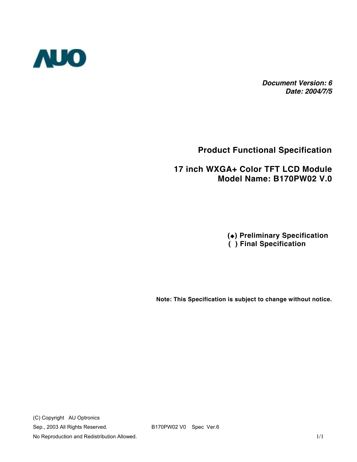

*Document Version: 6 Date: 2004/7/5*

### **Product Functional Specification**

### **17 inch WXGA+ Color TFT LCD Module Model Name: B170PW02 V.0**

 **() Preliminary Specification ( ) Final Specification**

**Note: This Specification is subject to change without notice.** 

(C) Copyright AU Optronics Sep., 2003 All Rights Reserved. B170PW02 V0 Spec Ver.6 No Reproduction and Redistribution Allowed. 1/1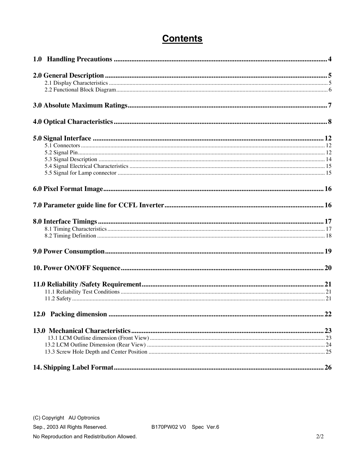## **Contents**

No Reproduction and Redistribution Allowed.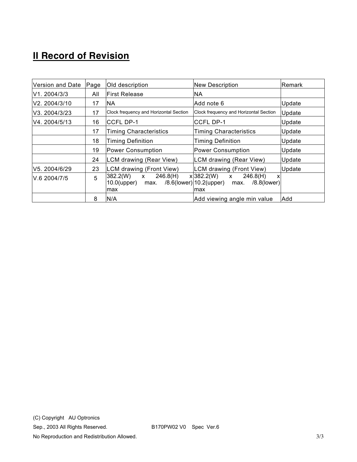# **II Record of Revision**

| Version and Date | Page                                | Old description                                                       | <b>New Description</b>                                                                                     | Remark |
|------------------|-------------------------------------|-----------------------------------------------------------------------|------------------------------------------------------------------------------------------------------------|--------|
| V1. 2004/3/3     | All                                 | <b>First Release</b>                                                  | <b>NA</b>                                                                                                  |        |
| V2. 2004/3/10    | 17                                  | NА                                                                    | Add note 6                                                                                                 | Update |
| V3. 2004/3/23    | 17                                  | Clock frequency and Horizontal Section                                | Clock frequency and Horizontal Section                                                                     | Update |
| IV4.2004/5/13    | 16                                  | <b>CCFL DP-1</b>                                                      | CCFL DP-1                                                                                                  | Update |
|                  | <b>Timing Characteristics</b><br>17 |                                                                       | <b>Timing Characteristics</b>                                                                              | Update |
|                  | 18                                  | <b>Timing Definition</b>                                              | <b>Timing Definition</b>                                                                                   |        |
|                  | 19                                  | <b>Power Consumption</b>                                              | <b>Power Consumption</b>                                                                                   | Update |
|                  | 24                                  | LCM drawing (Rear View)                                               | LCM drawing (Rear View)                                                                                    | Update |
| V5. 2004/6/29    | 23                                  | LCM drawing (Front View)                                              | LCM drawing (Front View)                                                                                   | Update |
| V.6 2004/7/5     | 5                                   | 246.8(H)<br>382.2(W)<br>$\mathsf{x}$<br>$10.0$ (upper)<br>max.<br>max | 246.8(H)<br>x 382.2(W)<br>$\mathsf{x}$<br>X<br>$/8.6$ (lower) 10.2(upper)<br>$/8.8$ (lower)<br>max.<br>max |        |
|                  | 8                                   | N/A                                                                   | Add viewing angle min value                                                                                | Add    |

No Reproduction and Redistribution Allowed. 3/3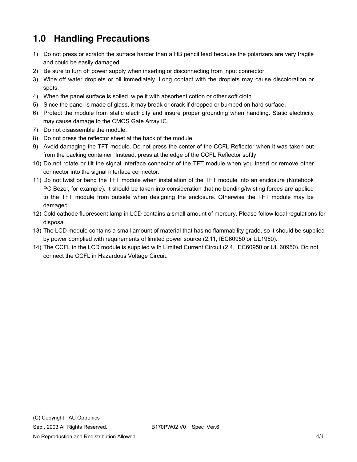# **1.0 Handling Precautions**

- 1) Do not press or scratch the surface harder than a HB pencil lead because the polarizers are very fragile and could be easily damaged.
- 2) Be sure to turn off power supply when inserting or disconnecting from input connector.
- 3) Wipe off water droplets or oil immediately. Long contact with the droplets may cause discoloration or spots.
- 4) When the panel surface is soiled, wipe it with absorbent cotton or other soft cloth.
- 5) Since the panel is made of glass, it may break or crack if dropped or bumped on hard surface.
- 6) Protect the module from static electricity and insure proper grounding when handling. Static electricity may cause damage to the CMOS Gate Array IC.
- 7) Do not disassemble the module.
- 8) Do not press the reflector sheet at the back of the module.
- 9) Avoid damaging the TFT module. Do not press the center of the CCFL Reflector when it was taken out from the packing container. Instead, press at the edge of the CCFL Reflector softly.
- 10) Do not rotate or tilt the signal interface connector of the TFT module when you insert or remove other connector into the signal interface connector.
- 11) Do not twist or bend the TFT module when installation of the TFT module into an enclosure (Notebook PC Bezel, for example). It should be taken into consideration that no bending/twisting forces are applied to the TFT module from outside when designing the enclosure. Otherwise the TFT module may be damaged.
- 12) Cold cathode fluorescent lamp in LCD contains a small amount of mercury. Please follow local regulations for disposal.
- 13) The LCD module contains a small amount of material that has no flammability grade, so it should be supplied by power complied with requirements of limited power source (2.11, IEC60950 or UL1950).
- 14) The CCFL in the LCD module is supplied with Limited Current Circuit (2.4, IEC60950 or UL 60950). Do not connect the CCFL in Hazardous Voltage Circuit.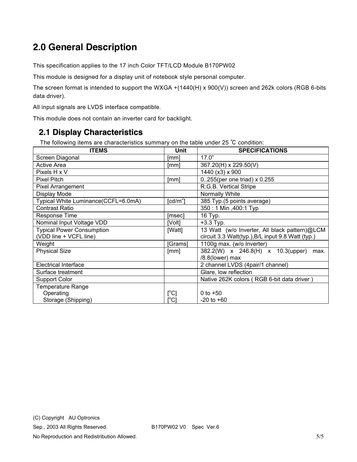# **2.0 General Description**

This specification applies to the 17 inch Color TFT/LCD Module B170PW02

This module is designed for a display unit of notebook style personal computer.

The screen format is intended to support the WXGA +(1440(H) x 900(V)) screen and 262k colors (RGB 6-bits data driver).

All input signals are LVDS interface compatible.

This module does not contain an inverter card for backlight.

#### **2.1 Display Characteristics**

The following items are characteristics summary on the table under 25 ℃ condition:

| <b>ITEMS</b>                        | Unit          | <b>SPECIFICATIONS</b>                             |
|-------------------------------------|---------------|---------------------------------------------------|
| Screen Diagonal                     | [mm]          | 17.0"                                             |
| <b>Active Area</b>                  | [mm]          | 367.20(H) x 229.50(V)                             |
| Pixels H x V                        |               | 1440 (x3) x 900                                   |
| <b>Pixel Pitch</b>                  | [mm]          | 0255(per one triad) $\times$ 0.255                |
| Pixel Arrangement                   |               | R.G.B. Vertical Stripe                            |
| Display Mode                        |               | Normally White                                    |
| Typical White Luminance(CCFL=6.0mA) | [ $cd/m2$ ]   | 385 Typ.(5 points average)                        |
| <b>Contrast Ratio</b>               |               | 350: 1 Min , 400: 1 Typ                           |
| <b>Response Time</b>                | [msec]        | 16 Typ.                                           |
| Nominal Input Voltage VDD           | [Volt]        | $+3.3$ Typ.                                       |
| <b>Typical Power Consumption</b>    | [Watt]        | 13 Watt (w/o Inverter, All black pattern)@LCM     |
| (VDD line + VCFL line)              |               | circuit 3.3 Watt(typ.), B/L input 9.8 Watt (typ.) |
| Weight                              | [Grams]       | 1100g max. (w/o Inverter)                         |
| <b>Physical Size</b>                | [mm]          | 382.2(W) x 246.8(H) x 10.3(upper)<br>max.         |
|                                     |               | /8.8(lower) max                                   |
| <b>Electrical Interface</b>         |               | 2 channel LVDS (4pair/1 channel)                  |
| Surface treatment                   |               | Glare, low reflection                             |
| <b>Support Color</b>                |               | Native 262K colors (RGB 6-bit data driver)        |
| <b>Temperature Range</b>            |               |                                                   |
| Operating                           | $[^{\circ}C]$ | 0 to $+50$                                        |
| Storage (Shipping)                  | [°C]          | $-20$ to $+60$                                    |

No Reproduction and Redistribution Allowed. 65/5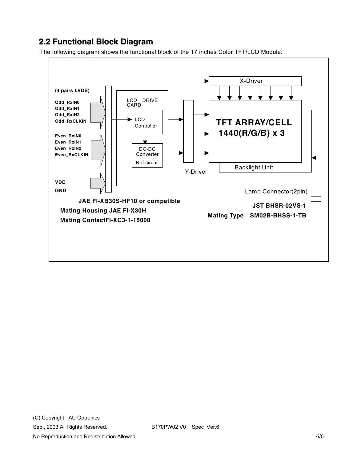### **2.2 Functional Block Diagram**

The following diagram shows the functional block of the 17 inches Color TFT/LCD Module:



Sep., 2003 All Rights Reserved. B170PW02 V0 Spec Ver.6

No Reproduction and Redistribution Allowed. 6/6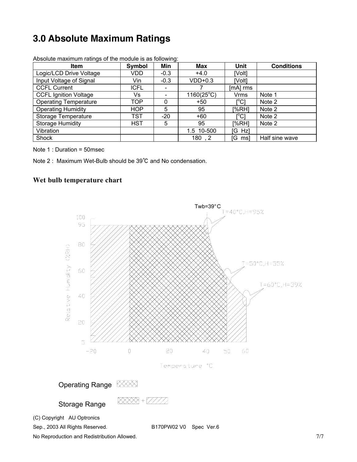# **3.0 Absolute Maximum Ratings**

| <b>Item</b>                  | Symbol      | Min                      | Max                 | Unit                                    | <b>Conditions</b> |
|------------------------------|-------------|--------------------------|---------------------|-----------------------------------------|-------------------|
| Logic/LCD Drive Voltage      | VDD.        | $-0.3$                   | $+4.0$              | [Volt]                                  |                   |
| Input Voltage of Signal      | Vin         | $-0.3$                   | $VDD+0.3$           | [Volt]                                  |                   |
| <b>CCFL Current</b>          | <b>ICFL</b> |                          |                     | [mA] rms                                |                   |
| <b>CCFL Ignition Voltage</b> | Vs          | $\overline{\phantom{0}}$ | $1160(25^{\circ}C)$ | <b>Vrms</b>                             | Note 1            |
| <b>Operating Temperature</b> | TOP         | 0                        | $+50$               | $\mathsf{I}^\circ\mathsf{C}1$           | Note 2            |
| <b>Operating Humidity</b>    | <b>HOP</b>  | 5                        | 95                  | [%RH]                                   | Note 2            |
| Storage Temperature          | TST         | $-20$                    | $+60$               | $\mathsf{I}^\circ\mathsf{C} \mathsf{I}$ | Note 2            |
| <b>Storage Humidity</b>      | <b>HST</b>  | 5                        | 95                  | [%RH]                                   | Note 2            |
| Vibration                    |             |                          | 1.5 10-500          | [G Hz]                                  |                   |
| Shock                        |             |                          | 180, 2              | [G ms]                                  | Half sine wave    |

Absolute maximum ratings of the module is as following:

Note 1 : Duration = 50msec

Note 2 : Maximum Wet-Bulb should be 39℃ and No condensation.

#### **Wet bulb temperature chart**



No Reproduction and Redistribution Allowed. The state of the state of the state of the state of the state of the state of the state of the state of the state of the state of the state of the state of the state of the state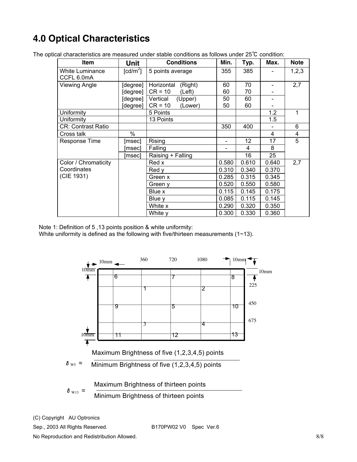# **4.0 Optical Characteristics**

| <b>Item</b>                          | Unit                                | <b>Conditions</b>     | Min.  | Typ.  | Max.  | <b>Note</b> |
|--------------------------------------|-------------------------------------|-----------------------|-------|-------|-------|-------------|
| <b>White Luminance</b><br>CCFL 6.0mA | $\lceil$ cd/m <sup>2</sup> $\rceil$ | 5 points average      | 355   | 385   |       | 1,2,3       |
| <b>Viewing Angle</b>                 | [degree]                            | Horizontal<br>(Right) | 60    | 70    |       | 2,7         |
|                                      | [degree]                            | $CR = 10$<br>(Left)   | 60    | 70    |       |             |
|                                      | [degree]                            | Vertical<br>(Upper)   | 50    | 60    |       |             |
|                                      | [degree]                            | $CR = 10$<br>(Lower)  | 50    | 60    |       |             |
| Uniformity                           |                                     | 5 Points              |       |       | 1.2   | 1           |
| Uniformity                           |                                     | 13 Points             |       |       | 1.5   |             |
| <b>CR: Contrast Ratio</b>            |                                     |                       | 350   | 400   |       | 6           |
| Cross talk                           | $\%$                                |                       |       |       | 4     | 4           |
| Response Time                        | [msec]                              | Rising                |       | 12    | 17    | 5           |
|                                      | [msec]                              | Falling               |       | 4     | 8     |             |
|                                      | [msec]                              | Raising + Falling     |       | 16    | 25    |             |
| Color / Chromaticity                 |                                     | Red x                 | 0.580 | 0.610 | 0.640 | 2,7         |
| Coordinates                          |                                     | Red v                 | 0.310 | 0.340 | 0.370 |             |
| (CIE 1931)                           |                                     | Green x               | 0.285 | 0.315 | 0.345 |             |
|                                      |                                     | Green y               | 0.520 | 0.550 | 0.580 |             |
|                                      |                                     | Blue x                | 0.115 | 0.145 | 0.175 |             |
|                                      |                                     | Blue y                | 0.085 | 0.115 | 0.145 |             |
|                                      |                                     | White x               | 0.290 | 0.320 | 0.350 |             |
|                                      |                                     | White y               | 0.300 | 0.330 | 0.360 |             |

The optical characteristics are measured under stable conditions as follows under 25℃ condition:

Note 1: Definition of 5 ,13 points position & white uniformity:

White uniformity is defined as the following with five/thirteen measurements (1~13).



(C) Copyright AU Optronics

Sep., 2003 All Rights Reserved. B170PW02 V0 Spec Ver.6

No Reproduction and Redistribution Allowed. **8/8** and  $\frac{8}{8}$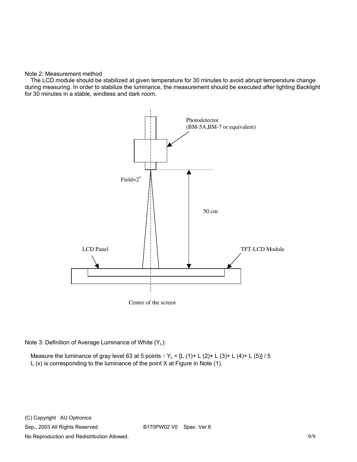#### Note 2: Measurement method

The LCD module should be stabilized at given temperature for 30 minutes to avoid abrupt temperature change during measuring. In order to stabilize the luminance, the measurement should be executed after lighting Backlight for 30 minutes in a stable, windless and dark room.



Note 3: Definition of Average Luminance of White (YL):

Measure the luminance of gray level 63 at 5 points,  $Y_L = [L (1) + L (2) + L (3) + L (4) + L (5)] / 5$ L (x) is corresponding to the luminance of the point X at Figure in Note (1).

(C) Copyright AU Optronics Sep., 2003 All Rights Reserved. B170PW02 V0 Spec Ver.6 No Reproduction and Redistribution Allowed. **9/9** and the state of the state of the state of the state of the state of the state of the state of the state of the state of the state of the state of the state of the state of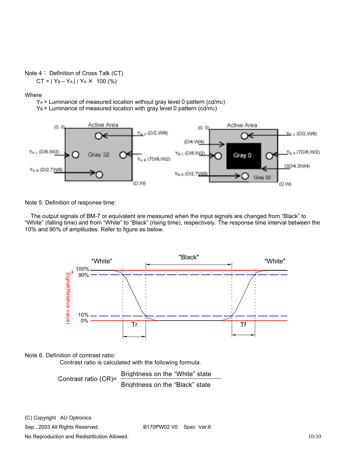#### Note 4: Definition of Cross Talk (CT)

 $CT = |Y_B - Y_A| / Y_A \times 100$  (%)

Where

 $Y_A$  = Luminance of measured location without gray level 0 pattern (cd/m<sub>2</sub>)

 $Y_B$  = Luminance of measured location with gray level 0 pattern (cd/m<sub>2</sub>)



Note 5: Definition of response time:

The output signals of BM-7 or equivalent are measured when the input signals are changed from "Black" to "White" (falling time) and from "White" to "Black" (rising time), respectively. The response time interval between the 10% and 90% of amplitudes. Refer to figure as below.



#### Note 6. Definition of contrast ratio:

Contrast ratio is calculated with the following formula.

Contrast ratio (CR)= Brightness on the "White" state Brightness on the "Black" state

(C) Copyright AU Optronics

Sep., 2003 All Rights Reserved. B170PW02 V0 Spec Ver.6

No Reproduction and Redistribution Allowed. 10/10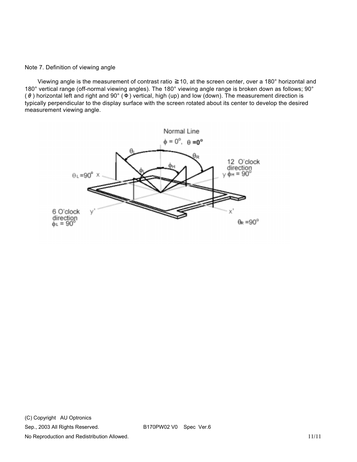#### Note 7. Definition of viewing angle

 Viewing angle is the measurement of contrast ratio ≧10, at the screen center, over a 180° horizontal and 180° vertical range (off-normal viewing angles). The 180° viewing angle range is broken down as follows; 90° ( $θ$ ) horizontal left and right and 90° ( $Φ$ ) vertical, high (up) and low (down). The measurement direction is typically perpendicular to the display surface with the screen rotated about its center to develop the desired measurement viewing angle.

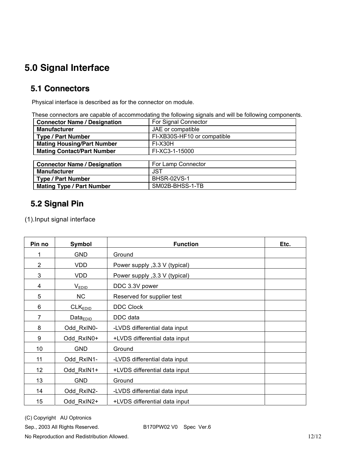# **5.0 Signal Interface**

### **5.1 Connectors**

Physical interface is described as for the connector on module.

These connectors are capable of accommodating the following signals and will be following components.

| <b>Connector Name / Designation</b> | For Signal Connector        |
|-------------------------------------|-----------------------------|
| <b>Manufacturer</b>                 | JAE or compatible           |
| <b>Type / Part Number</b>           | FI-XB30S-HF10 or compatible |
| <b>Mating Housing/Part Number</b>   | FI-X30H                     |
| <b>Mating Contact/Part Number</b>   | FI-XC3-1-15000              |
|                                     |                             |
| <b>Connector Name / Designation</b> | For Lamp Connector          |
| <b>Manufacturer</b>                 | <b>JST</b>                  |
| <b>Type / Part Number</b>           | <b>BHSR-02VS-1</b>          |
| <b>Mating Type / Part Number</b>    | SM02B-BHSS-1-TB             |

## **5.2 Signal Pin**

(1).Input signal interface

| Pin no          | Symbol               | <b>Function</b>                | Etc. |
|-----------------|----------------------|--------------------------------|------|
| 1               | <b>GND</b>           | Ground                         |      |
| $\overline{2}$  | <b>VDD</b>           | Power supply , 3.3 V (typical) |      |
| 3               | <b>VDD</b>           | Power supply , 3.3 V (typical) |      |
| 4               | $V_{EDID}$           | DDC 3.3V power                 |      |
| 5               | NC                   | Reserved for supplier test     |      |
| 6               | CLK <sub>EDID</sub>  | <b>DDC Clock</b>               |      |
| $\overline{7}$  | Data <sub>EDID</sub> | DDC data                       |      |
| 8               | Odd RxIN0-           | -LVDS differential data input  |      |
| 9               | Odd RxIN0+           | +LVDS differential data input  |      |
| 10              | <b>GND</b>           | Ground                         |      |
| 11              | Odd RxIN1-           | -LVDS differential data input  |      |
| 12 <sub>2</sub> | Odd RxIN1+           | +LVDS differential data input  |      |
| 13              | <b>GND</b>           | Ground                         |      |
| 14              | Odd RxIN2-           | -LVDS differential data input  |      |
| 15              | Odd RxIN2+           | +LVDS differential data input  |      |

(C) Copyright AU Optronics

No Reproduction and Redistribution Allowed. 12/12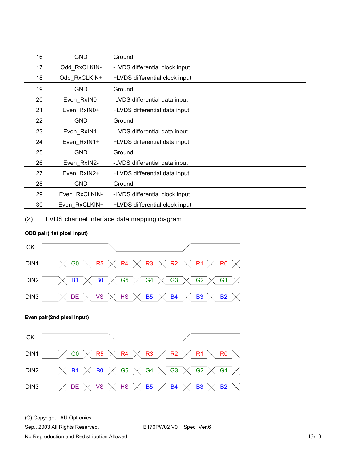| 16 | GND           | Ground                         |
|----|---------------|--------------------------------|
| 17 | Odd RxCLKIN-  | -LVDS differential clock input |
| 18 | Odd RxCLKIN+  | +LVDS differential clock input |
| 19 | GND           | Ground                         |
| 20 | Even RxIN0-   | -LVDS differential data input  |
| 21 | Even RxIN0+   | +LVDS differential data input  |
| 22 | GND           | Ground                         |
| 23 | Even RxIN1-   | -LVDS differential data input  |
| 24 | Even RxIN1+   | +LVDS differential data input  |
| 25 | GND           | Ground                         |
| 26 | Even RxIN2-   | -LVDS differential data input  |
| 27 | Even RxIN2+   | +LVDS differential data input  |
| 28 | GND           | Ground                         |
| 29 | Even RxCLKIN- | -LVDS differential clock input |
| 30 | Even RxCLKIN+ | +LVDS differential clock input |

(2) LVDS channel interface data mapping diagram

#### **ODD pair( 1st pixel input)**



(C) Copyright AU Optronics

Sep., 2003 All Rights Reserved. B170PW02 V0 Spec Ver.6

No Reproduction and Redistribution Allowed. 13/13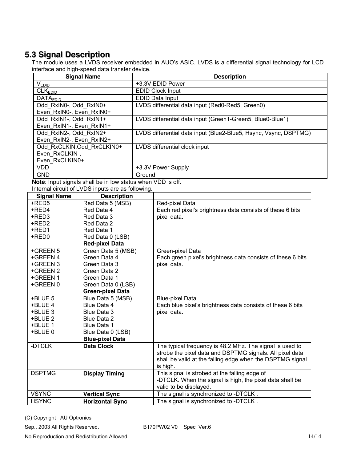## **5.3 Signal Description**

The module uses a LVDS receiver embedded in AUO's ASIC. LVDS is a differential signal technology for LCD interface and high-speed data transfer device.

| <b>Description</b>                                                                              |
|-------------------------------------------------------------------------------------------------|
| +3.3V EDID Power                                                                                |
| <b>EDID Clock Input</b>                                                                         |
| EDID Data Input                                                                                 |
| LVDS differential data input (Red0-Red5, Green0)                                                |
|                                                                                                 |
| LVDS differential data input (Green1-Green5, Blue0-Blue1)                                       |
|                                                                                                 |
| LVDS differential data input (Blue2-Blue5, Hsync, Vsync, DSPTMG)                                |
|                                                                                                 |
| LVDS differential clock input                                                                   |
|                                                                                                 |
|                                                                                                 |
| +3.3V Power Supply                                                                              |
| Ground                                                                                          |
| Montant for a state of a state for the following state of a state $\lambda$ (Fig. ) of $\alpha$ |

**Note**: Input signals shall be in low status when VDD is off. Internal circuit of LVDS inputs are as following.

| <b>Signal Name</b> | . on oant of Eve of mipato are ao fonoming.<br><b>Description</b> |                                                             |
|--------------------|-------------------------------------------------------------------|-------------------------------------------------------------|
| +RED5              | Red Data 5 (MSB)                                                  | Red-pixel Data                                              |
| +RED4              | Red Data 4                                                        | Each red pixel's brightness data consists of these 6 bits   |
| +RED3              | Red Data 3                                                        | pixel data.                                                 |
| +RED2              | Red Data 2                                                        |                                                             |
| +RED1              | Red Data 1                                                        |                                                             |
| +RED0              | Red Data 0 (LSB)                                                  |                                                             |
|                    | <b>Red-pixel Data</b>                                             |                                                             |
| +GREEN 5           | Green Data 5 (MSB)                                                | Green-pixel Data                                            |
| +GREEN 4           | Green Data 4                                                      | Each green pixel's brightness data consists of these 6 bits |
| +GREEN 3           | Green Data 3                                                      | pixel data.                                                 |
| +GREEN 2           | Green Data 2                                                      |                                                             |
| +GREEN 1           | Green Data 1                                                      |                                                             |
| +GREEN 0           | Green Data 0 (LSB)                                                |                                                             |
|                    | <b>Green-pixel Data</b>                                           |                                                             |
| +BLUE 5            | Blue Data 5 (MSB)                                                 | <b>Blue-pixel Data</b>                                      |
| +BLUE 4            | Blue Data 4                                                       | Each blue pixel's brightness data consists of these 6 bits  |
| +BLUE 3            | Blue Data 3                                                       | pixel data.                                                 |
| +BLUE 2            | Blue Data 2                                                       |                                                             |
| +BLUE 1            | Blue Data 1                                                       |                                                             |
| +BLUE 0            | Blue Data 0 (LSB)                                                 |                                                             |
|                    | <b>Blue-pixel Data</b>                                            |                                                             |
| -DTCLK             | <b>Data Clock</b>                                                 | The typical frequency is 48.2 MHz. The signal is used to    |
|                    |                                                                   | strobe the pixel data and DSPTMG signals. All pixel data    |
|                    |                                                                   | shall be valid at the falling edge when the DSPTMG signal   |
|                    |                                                                   | is high.                                                    |
| <b>DSPTMG</b>      | <b>Display Timing</b>                                             | This signal is strobed at the falling edge of               |
|                    |                                                                   | -DTCLK. When the signal is high, the pixel data shall be    |
|                    |                                                                   | valid to be displayed.                                      |
| <b>VSYNC</b>       | <b>Vertical Sync</b>                                              | The signal is synchronized to -DTCLK.                       |
| <b>HSYNC</b>       | <b>Horizontal Sync</b>                                            | The signal is synchronized to -DTCLK.                       |

(C) Copyright AU Optronics

Sep., 2003 All Rights Reserved. B170PW02 V0 Spec Ver.6

No Reproduction and Redistribution Allowed. 14/14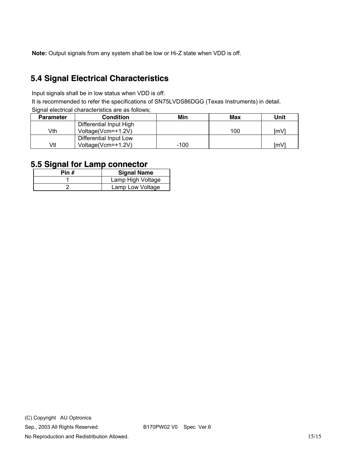**Note:** Output signals from any system shall be low or Hi-Z state when VDD is off.

## **5.4 Signal Electrical Characteristics**

Input signals shall be in low status when VDD is off.

It is recommended to refer the specifications of SN75LVDS86DGG (Texas Instruments) in detail.

Signal electrical characteristics are as follows:

| <b>Parameter</b> | <b>Condition</b>        | Min  | Max | Unit |
|------------------|-------------------------|------|-----|------|
|                  | Differential Input High |      |     |      |
| Vth              | Voltage(Vcm=+1.2V)      |      | 100 | [mV] |
|                  | Differential Input Low  |      |     |      |
| Vtl              | Voltage(Vcm=+1.2V)      | -100 |     | ſmV  |

#### **5.5 Signal for Lamp connector**

| Pin # | <b>Signal Name</b> |
|-------|--------------------|
|       | Lamp High Voltage  |
|       | Lamp Low Voltage   |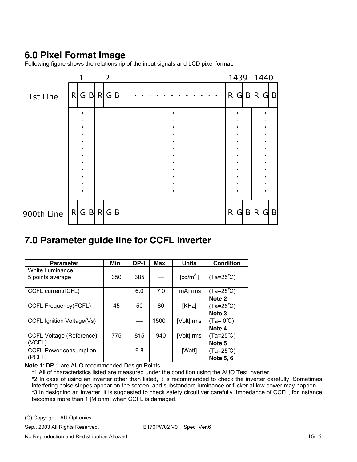## **6.0 Pixel Format Image**

|            | 1            | $\overline{2}$         |   | 1439 1440 |        |              |              |
|------------|--------------|------------------------|---|-----------|--------|--------------|--------------|
| 1st Line   | G B <br>R    | R<br>$G \mid B$        | R | G         | B      | R<br>G       | $\mathsf{B}$ |
|            | ٠            | $\bullet$<br>٠         |   |           |        |              |              |
|            |              | $\bullet$<br>$\bullet$ |   |           |        |              |              |
|            |              | $\bullet$              |   |           |        | $\bullet$    |              |
|            | $\bullet$    | $\bullet$<br>$\bullet$ |   |           |        | $\bullet$    |              |
|            | ٠            | $\bullet$<br>$\bullet$ |   |           |        | ٠            |              |
|            |              | ٠<br>٠                 |   |           |        |              |              |
|            |              | $\blacksquare$         |   |           |        | $\mathbf{I}$ |              |
| 900th Line | $G$ B R<br>R | $G \mid B$             | R | G         | B<br>R | G            | $\mathsf{B}$ |

Following figure shows the relationship of the input signals and LCD pixel format.

### **7.0 Parameter guide line for CCFL Inverter**

| <b>Parameter</b>                | Min | <b>DP-1</b> | <b>Max</b> | <b>Units</b>         | <b>Condition</b>    |
|---------------------------------|-----|-------------|------------|----------------------|---------------------|
| White Luminance                 |     |             |            |                      |                     |
| 5 points average                | 350 | 385         |            | [cd/m <sup>2</sup> ] | $(Ta=25^{\circ}C)$  |
|                                 |     |             |            |                      |                     |
| CCFL current(ICFL)              |     | 6.0         | 7.0        | [mA] rms             | $(Ta=25^{\circ}C)$  |
|                                 |     |             |            |                      | Note 2              |
| <b>CCFL Frequency(FCFL)</b>     | 45  | 50          | 80         | [KHz]                | $(Ta=25^{\circ}C)$  |
|                                 |     |             |            |                      | Note 3              |
| CCFL Ignition Voltage(Vs)       |     |             | 1500       | [Volt] rms           | $(Ta = 0^{\circ}C)$ |
|                                 |     |             |            |                      | Note 4              |
| <b>CCFL Voltage (Reference)</b> | 775 | 815         | 940        | [Volt] rms           | $(Ta=25^{\circ}C)$  |
| (VCFL)                          |     |             |            |                      | Note 5              |
| CCFL Power consumption          |     | 9.8         |            | [Watt]               | $(Ta=25^{\circ}C)$  |
| (PCFL)                          |     |             |            |                      | Note 5, 6           |

**Note 1**: DP-1 are AUO recommended Design Points.

\*1 All of characteristics listed are measured under the condition using the AUO Test inverter.

\*2 In case of using an inverter other than listed, it is recommended to check the inverter carefully. Sometimes, interfering noise stripes appear on the screen, and substandard luminance or flicker at low power may happen. \*3 In designing an inverter, it is suggested to check safety circuit ver carefully. Impedance of CCFL, for instance, becomes more than 1 [M ohm] when CCFL is damaged.

(C) Copyright AU Optronics

Sep., 2003 All Rights Reserved. B170PW02 V0 Spec Ver.6

No Reproduction and Redistribution Allowed. 16/16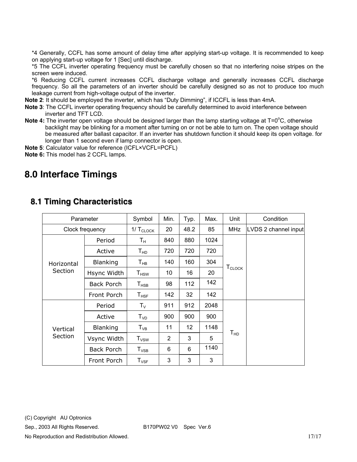\*4 Generally, CCFL has some amount of delay time after applying start-up voltage. It is recommended to keep on applying start-up voltage for 1 [Sec] until discharge.

\*5 The CCFL inverter operating frequency must be carefully chosen so that no interfering noise stripes on the screen were induced.

\*6 Reducing CCFL current increases CCFL discharge voltage and generally increases CCFL discharge frequency. So all the parameters of an inverter should be carefully designed so as not to produce too much leakage current from high-voltage output of the inverter.

**Note 2**: It should be employed the inverter, which has "Duty Dimming", if ICCFL is less than 4mA.

- **Note 3**: The CCFL inverter operating frequency should be carefully determined to avoid interference between inverter and TFT LCD.
- Note 4: The inverter open voltage should be designed larger than the lamp starting voltage at T=0<sup>o</sup>C, otherwise backlight may be blinking for a moment after turning on or not be able to turn on. The open voltage should be measured after ballast capacitor. If an inverter has shutdown function it should keep its open voltage. for longer than 1 second even if lamp connector is open.
- **Note 5**: Calculator value for reference (ICFL×VCFL=PCFL)
- **Note 6:** This model has 2 CCFL lamps.

## **8.0 Interface Timings**

| Parameter             |                   | Symbol                      | Min. | Typ. | Max. | Unit                          | Condition            |
|-----------------------|-------------------|-----------------------------|------|------|------|-------------------------------|----------------------|
| Clock frequency       |                   | $1/\,T_{\text{CLOCK}}$      | 20   | 48.2 | 85   | <b>MHz</b>                    | LVDS 2 channel input |
| Horizontal<br>Section | Period            | Τн                          | 840  | 880  | 1024 |                               |                      |
|                       | Active            | $T_{HD}$                    | 720  | 720  | 720  |                               |                      |
|                       | <b>Blanking</b>   | $\mathsf{T}_{\mathsf{HB}}$  | 140  | 160  | 304  |                               |                      |
|                       | Hsync Width       | $\mathsf{T}_{\mathsf{HSW}}$ | 10   | 16   | 20   | $\mathsf{T}_{\mathsf{CLOCK}}$ |                      |
|                       | <b>Back Porch</b> | $\mathsf{T}_{\mathsf{HSB}}$ | 98   | 112  | 142  |                               |                      |
|                       | Front Porch       | $T_{HSF}$                   | 142  | 32   | 142  |                               |                      |
|                       | Period            | $T_{V}$                     | 911  | 912  | 2048 |                               |                      |
| Vertical<br>Section   | Active            | T <sub>VD</sub>             | 900  | 900  | 900  |                               |                      |
|                       | <b>Blanking</b>   | $T_{VB}$                    | 11   | 12   | 1148 | T <sub>HD</sub>               |                      |
|                       | Vsync Width       | $T_{\rm VSW}$               | 2    | 3    | 5    |                               |                      |
|                       | Back Porch        | $T_{VSB}$                   | 6    | 6    | 1140 |                               |                      |
|                       | Front Porch       | $T_{\text{VSF}}$            | 3    | 3    | 3    |                               |                      |

#### **8.1 Timing Characteristics**

(C) Copyright AU Optronics

Sep., 2003 All Rights Reserved. B170PW02 V0 Spec Ver.6

No Reproduction and Redistribution Allowed. 17/17 and 17/17 and 17/17 and 17/17 and 17/17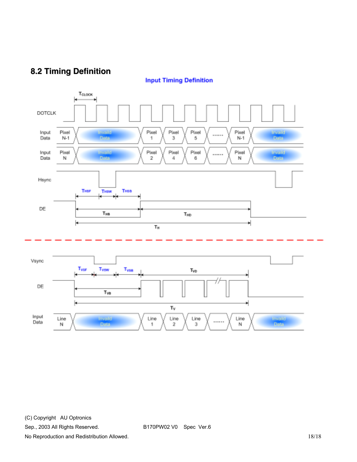## **8.2 Timing Definition**

**Input Timing Definition** 



(C) Copyright AU Optronics

Sep., 2003 All Rights Reserved. B170PW02 V0 Spec Ver.6

No Reproduction and Redistribution Allowed. 18/18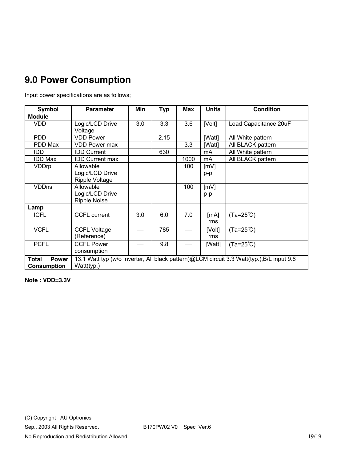# **9.0 Power Consumption**

Input power specifications are as follows;

| <b>Symbol</b>                                      | <b>Parameter</b>                                                                                        | Min | <b>Typ</b> | Max  | <b>Units</b>  | <b>Condition</b>      |  |
|----------------------------------------------------|---------------------------------------------------------------------------------------------------------|-----|------------|------|---------------|-----------------------|--|
| <b>Module</b>                                      |                                                                                                         |     |            |      |               |                       |  |
| <b>VDD</b>                                         | Logic/LCD Drive<br>Voltage                                                                              | 3.0 | 3.3        | 3.6  | [Volt]        | Load Capacitance 20uF |  |
| <b>PDD</b>                                         | <b>VDD Power</b>                                                                                        |     | 2.15       |      | [Watt]        | All White pattern     |  |
| PDD Max                                            | <b>VDD Power max</b>                                                                                    |     |            | 3.3  | [Watt]        | All BLACK pattern     |  |
| IDD                                                | <b>IDD Current</b>                                                                                      |     | 630        |      | mA            | All White pattern     |  |
| IDD Max                                            | <b>IDD Current max</b>                                                                                  |     |            | 1000 | mA            | All BLACK pattern     |  |
| <b>VDDrp</b>                                       | Allowable<br>Logic/LCD Drive<br>Ripple Voltage                                                          |     |            | 100  | [mV]<br>p-p   |                       |  |
| <b>VDDns</b>                                       | Allowable<br>Logic/LCD Drive<br><b>Ripple Noise</b>                                                     |     |            | 100  | [mV]<br>p-p   |                       |  |
| Lamp                                               |                                                                                                         |     |            |      |               |                       |  |
| <b>ICFL</b>                                        | <b>CCFL current</b>                                                                                     | 3.0 | 6.0        | 7.0  | [mA]<br>rms   | $(Ta=25^{\circ}C)$    |  |
| <b>VCFL</b>                                        | <b>CCFL Voltage</b><br>(Reference)                                                                      |     | 785        |      | [Volt]<br>rms | $(Ta=25^{\circ}C)$    |  |
| <b>PCFL</b>                                        | <b>CCFL Power</b><br>consumption                                                                        |     | 9.8        |      | [Watt]        | $(Ta=25^{\circ}C)$    |  |
| <b>Total</b><br><b>Power</b><br><b>Consumption</b> | 13.1 Watt typ (w/o Inverter, All black pattern)@LCM circuit 3.3 Watt(typ.), B/L input 9.8<br>Watt(typ.) |     |            |      |               |                       |  |

**Note : VDD=3.3V**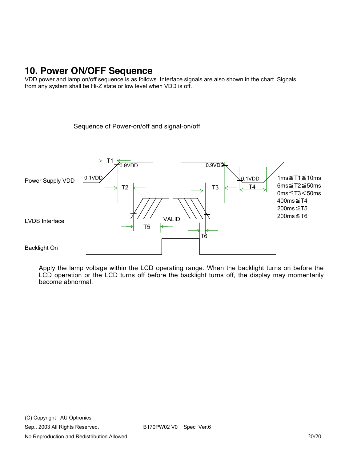## **10. Power ON/OFF Sequence**

VDD power and lamp on/off sequence is as follows. Interface signals are also shown in the chart. Signals from any system shall be Hi-Z state or low level when VDD is off.

Sequence of Power-on/off and signal-on/off



Apply the lamp voltage within the LCD operating range. When the backlight turns on before the LCD operation or the LCD turns off before the backlight turns off, the display may momentarily become abnormal.

No Reproduction and Redistribution Allowed. 20/20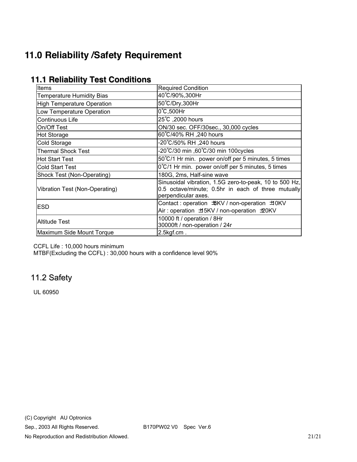# **11.0 Reliability /Safety Requirement**

| Items                             | <b>Required Condition</b>                                                                                                           |  |  |  |  |  |
|-----------------------------------|-------------------------------------------------------------------------------------------------------------------------------------|--|--|--|--|--|
| <b>Temperature Humidity Bias</b>  | 40°C/90%,300Hr                                                                                                                      |  |  |  |  |  |
| <b>High Temperature Operation</b> | 50°C/Dry,300Hr                                                                                                                      |  |  |  |  |  |
| Low Temperature Operation         | 0°C,500Hr                                                                                                                           |  |  |  |  |  |
| Continuous Life                   | 25°C, 2000 hours                                                                                                                    |  |  |  |  |  |
| On/Off Test                       | ON/30 sec. OFF/30sec., 30,000 cycles                                                                                                |  |  |  |  |  |
| <b>Hot Storage</b>                | 60°C/40% RH ,240 hours                                                                                                              |  |  |  |  |  |
| Cold Storage                      | 20℃/50% RH ,240 hours                                                                                                               |  |  |  |  |  |
| <b>Thermal Shock Test</b>         | -20°C/30 min ,60°C/30 min 100cycles                                                                                                 |  |  |  |  |  |
| <b>Hot Start Test</b>             | 50°C/1 Hr min. power on/off per 5 minutes, 5 times                                                                                  |  |  |  |  |  |
| <b>Cold Start Test</b>            | 0°C/1 Hr min. power on/off per 5 minutes, 5 times                                                                                   |  |  |  |  |  |
| Shock Test (Non-Operating)        | 180G, 2ms, Half-sine wave                                                                                                           |  |  |  |  |  |
| Vibration Test (Non-Operating)    | Sinusoidal vibration, 1.5G zero-to-peak, 10 to 500 Hz,<br>0.5 octave/minute; 0.5hr in each of three mutually<br>perpendicular axes. |  |  |  |  |  |
| <b>ESD</b>                        | Air: operation ±5KV / non-operation ±20KV                                                                                           |  |  |  |  |  |
| <b>Altitude Test</b>              | 10000 ft / operation / 8Hr<br>30000ft / non-operation / 24r                                                                         |  |  |  |  |  |
| Maximum Side Mount Torque         | $2.5$ kgf.cm.                                                                                                                       |  |  |  |  |  |

### **11.1 Reliability Test Conditions**

CCFL Life : 10,000 hours minimum

MTBF(Excluding the CCFL) : 30,000 hours with a confidence level 90%

## 11.2 Safety

UL 60950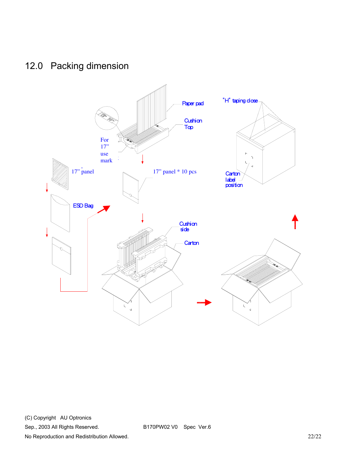## 12.0 Packing dimension



(C) Copyright AU Optronics

Sep., 2003 All Rights Reserved. B170PW02 V0 Spec Ver.6

No Reproduction and Redistribution Allowed. 22/22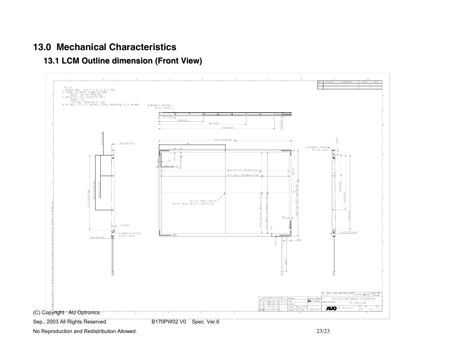### **13.0 Mechanical Characteristics**

**13.1 LCM Outline dimension (Front View)**



No Reproduction and Redistribution Allowed. 23/23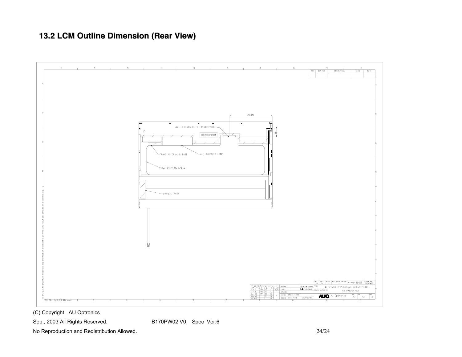## **13.2 LCM Outline Dimension (Rear View)**



(C) Copyright AU Optronics

Sep., 2003 All Rights Reserved. B170PW02 V0 Spec Ver.6

No Reproduction and Redistribution Allowed. 24/24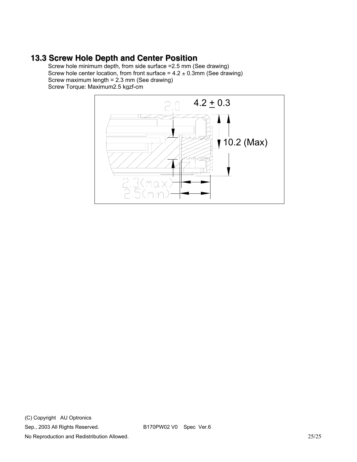#### **13.3 Screw Hole Depth and Center Position**

Screw hole minimum depth, from side surface =2.5 mm (See drawing) Screw hole center location, from front surface =  $4.2 \pm 0.3$ mm (See drawing) Screw maximum length = 2.3 mm (See drawing) Screw Torque: Maximum2.5 kgzf-cm